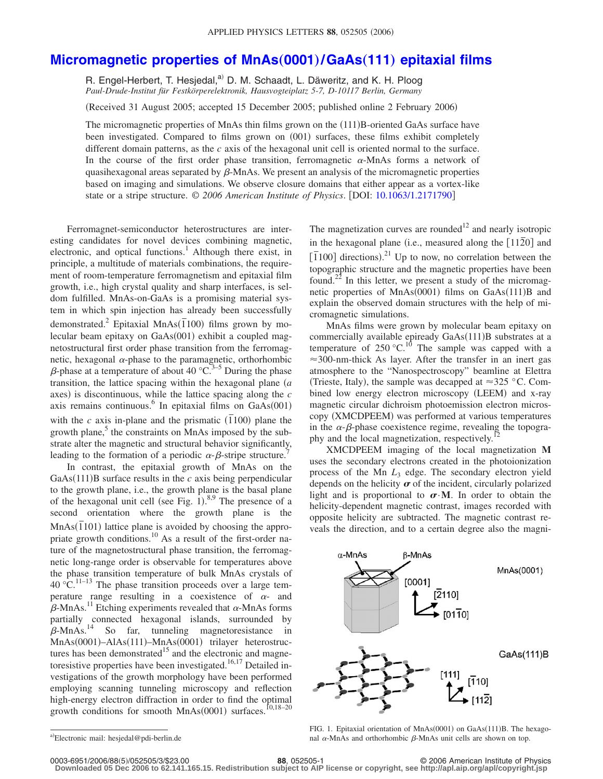## **[Micromagnetic properties of MnAs](http://dx.doi.org/10.1063/1.2171790)**"**0001**…**/GaAs**"**111**… **epitaxial films**

R. Engel-Herbert, T. Hesjedal,<sup>a)</sup> D. M. Schaadt, L. Däweritz, and K. H. Ploog *Paul-Drude-Institut für Festkörperelektronik, Hausvogteiplatz 5-7, D-10117 Berlin, Germany*

(Received 31 August 2005; accepted 15 December 2005; published online 2 February 2006)

The micromagnetic properties of MnAs thin films grown on the (111)B-oriented GaAs surface have been investigated. Compared to films grown on (001) surfaces, these films exhibit completely different domain patterns, as the *c* axis of the hexagonal unit cell is oriented normal to the surface. In the course of the first order phase transition, ferromagnetic  $\alpha$ -MnAs forms a network of quasihexagonal areas separated by  $\beta$ -MnAs. We present an analysis of the micromagnetic properties based on imaging and simulations. We observe closure domains that either appear as a vortex-like state or a stripe structure. © *2006 American Institute of Physics*. DOI: [10.1063/1.2171790](http://dx.doi.org/10.1063/1.2171790)

Ferromagnet-semiconductor heterostructures are interesting candidates for novel devices combining magnetic, electronic, and optical functions.<sup>1</sup> Although there exist, in principle, a multitude of materials combinations, the requirement of room-temperature ferromagnetism and epitaxial film growth, i.e., high crystal quality and sharp interfaces, is seldom fulfilled. MnAs-on-GaAs is a promising material system in which spin injection has already been successfully demonstrated.<sup>2</sup> Epitaxial MnAs $(\overline{1}100)$  films grown by molecular beam epitaxy on GaAs(001) exhibit a coupled magnetostructural first order phase transition from the ferromagnetic, hexagonal  $\alpha$ -phase to the paramagnetic, orthorhombic  $\beta$ -phase at a temperature of about 40 °C.<sup>3–5</sup> During the phase transition, the lattice spacing within the hexagonal plane *a* axes) is discontinuous, while the lattice spacing along the *c* axis remains continuous.<sup>6</sup> In epitaxial films on  $GaAs(001)$ with the *c* axis in-plane and the prismatic  $(\overline{1}100)$  plane the growth plane, $5$  the constraints on MnAs imposed by the substrate alter the magnetic and structural behavior significantly, leading to the formation of a periodic  $\alpha$ - $\beta$ -stripe structure.<sup>7</sup>

In contrast, the epitaxial growth of MnAs on the GaAs $(111)$ B surface results in the *c* axis being perpendicular to the growth plane, i.e., the growth plane is the basal plane of the hexagonal unit cell (see Fig. 1).<sup>8,9</sup> The presence of a second orientation where the growth plane is the MnAs(101) lattice plane is avoided by choosing the appropriate growth conditions.<sup>10</sup> As a result of the first-order nature of the magnetostructural phase transition, the ferromagnetic long-range order is observable for temperatures above the phase transition temperature of bulk MnAs crystals of  $40 \, \mathrm{°C}$ .<sup>11–13</sup> The phase transition proceeds over a large temperature range resulting in a coexistence of  $\alpha$ - and  $\beta$ -MnAs.<sup>11</sup> Etching experiments revealed that  $\alpha$ -MnAs forms partially connected hexagonal islands, surrounded by  $\beta$ -MnAs.<sup>14</sup> So far, tunneling magnetoresistance in MnAs(0001)-AlAs(111)-MnAs(0001) trilayer heterostructures has been demonstrated<sup>15</sup> and the electronic and magnetoresistive properties have been investigated.<sup>16,17</sup> Detailed investigations of the growth morphology have been performed employing scanning tunneling microscopy and reflection high-energy electron diffraction in order to find the optimal growth conditions for smooth  $MnAs(0001)$  surfaces.<sup>10,18–20</sup>

The magnetization curves are rounded<sup>12</sup> and nearly isotropic in the hexagonal plane (i.e., measured along the  $\lceil 1120 \rceil$  and  $\frac{1}{2}$   $\frac{1}{100}$  directions).<sup>21</sup> Up to now, no correlation between the topographic structure and the magnetic properties have been found.<sup>22</sup> In this letter, we present a study of the micromagnetic properties of MnAs(0001) films on GaAs(111)B and explain the observed domain structures with the help of micromagnetic simulations.

MnAs films were grown by molecular beam epitaxy on commercially available epiready GaAs(111)B substrates at a temperature of 250 °C.<sup>10</sup> The sample was capped with a  $\approx$ 300-nm-thick As layer. After the transfer in an inert gas atmosphere to the "Nanospectroscopy" beamline at Elettra (Trieste, Italy), the sample was decapped at  $\approx$  325 °C. Combined low energy electron microscopy (LEEM) and x-ray magnetic circular dichroism photoemission electron microscopy (XMCDPEEM) was performed at various temperatures in the  $\alpha$ - $\beta$ -phase coexistence regime, revealing the topography and the local magnetization, respectively.

XMCDPEEM imaging of the local magnetization **M** uses the secondary electrons created in the photoionization process of the Mn *L*<sup>3</sup> edge. The secondary electron yield depends on the helicity  $\sigma$  of the incident, circularly polarized light and is proportional to  $\sigma \cdot M$ . In order to obtain the helicity-dependent magnetic contrast, images recorded with opposite helicity are subtracted. The magnetic contrast reveals the direction, and to a certain degree also the magni-



FIG. 1. Epitaxial orientation of MnAs(0001) on GaAs(111)B. The hexagonal  $\alpha$ -MnAs and orthorhombic  $\beta$ -MnAs unit cells are shown on top.

**Downloaded 05 Dec 2006 to 62.141.165.15. Redistribution subject to AIP license or copyright, see http://apl.aip.org/apl/copyright.jsp**

a)Electronic mail: hesjedal@pdi-berlin.de

<sup>5</sup>/052505/3/\$23.00 © 2006 American Institute of Physics **88**, 052505-1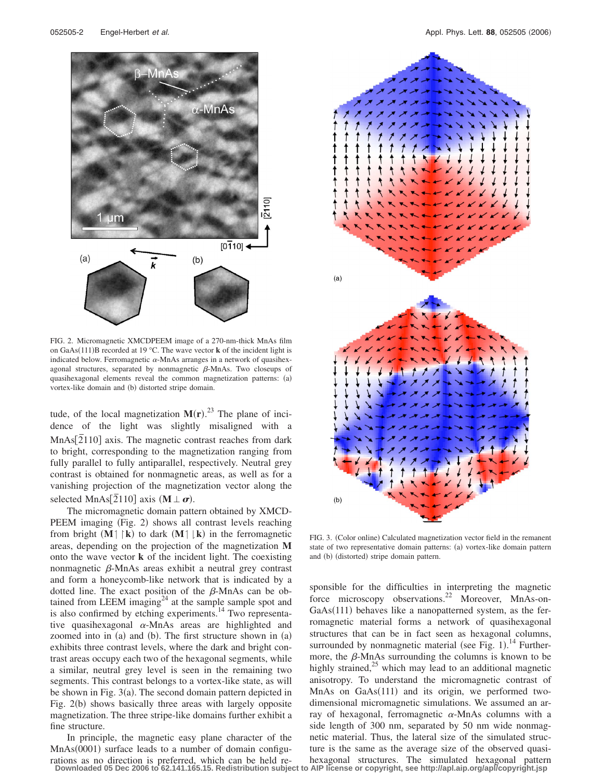

FIG. 2. Micromagnetic XMCDPEEM image of a 270-nm-thick MnAs film on GaAs(111)B recorded at 19 °C. The wave vector **k** of the incident light is indicated below. Ferromagnetic  $\alpha$ -MnAs arranges in a network of quasihexagonal structures, separated by nonmagnetic  $\beta$ -MnAs. Two closeups of quasihexagonal elements reveal the common magnetization patterns: (a) vortex-like domain and (b) distorted stripe domain.

tude, of the local magnetization  $M(r)$ <sup>23</sup>. The plane of incidence of the light was slightly misaligned with a MnAs<sup>[2</sup>110] axis. The magnetic contrast reaches from dark to bright, corresponding to the magnetization ranging from fully parallel to fully antiparallel, respectively. Neutral grey contrast is obtained for nonmagnetic areas, as well as for a vanishing projection of the magnetization vector along the selected MnAs<sup>[2110]</sup> axis  $(M \perp \sigma)$ .

The micromagnetic domain pattern obtained by XMCD-PEEM imaging (Fig. 2) shows all contrast levels reaching from bright  $(M \mid \mathbf{k})$  to dark  $(M \mid \mathbf{k})$  in the ferromagnetic areas, depending on the projection of the magnetization **M** onto the wave vector **k** of the incident light. The coexisting nonmagnetic  $\beta$ -MnAs areas exhibit a neutral grey contrast and form a honeycomb-like network that is indicated by a dotted line. The exact position of the  $\beta$ -MnAs can be obtained from LEEM imaging<sup>24</sup> at the sample sample spot and is also confirmed by etching experiments.<sup>14</sup> Two representative quasihexagonal  $\alpha$ -MnAs areas are highlighted and zoomed into in (a) and (b). The first structure shown in (a) exhibits three contrast levels, where the dark and bright contrast areas occupy each two of the hexagonal segments, while a similar, neutral grey level is seen in the remaining two segments. This contrast belongs to a vortex-like state, as will be shown in Fig. 3(a). The second domain pattern depicted in Fig. 2(b) shows basically three areas with largely opposite magnetization. The three stripe-like domains further exhibit a fine structure.

In principle, the magnetic easy plane character of the MnAs(0001) surface leads to a number of domain configurations as no direction is preferred, which can be held re-



FIG. 3. (Color online) Calculated magnetization vector field in the remanent state of two representative domain patterns: (a) vortex-like domain pattern and (b) (distorted) stripe domain pattern.

sponsible for the difficulties in interpreting the magnetic force microscopy observations.<sup>22</sup> Moreover, MnAs-on-GaAs(111) behaves like a nanopatterned system, as the ferromagnetic material forms a network of quasihexagonal structures that can be in fact seen as hexagonal columns, surrounded by nonmagnetic material (see Fig. 1).<sup>14</sup> Furthermore, the  $\beta$ -MnAs surrounding the columns is known to be highly strained, $25$  which may lead to an additional magnetic anisotropy. To understand the micromagnetic contrast of MnAs on GaAs(111) and its origin, we performed twodimensional micromagnetic simulations. We assumed an array of hexagonal, ferromagnetic  $\alpha$ -MnAs columns with a side length of 300 nm, separated by 50 nm wide nonmagnetic material. Thus, the lateral size of the simulated structure is the same as the average size of the observed quasihexagonal structures. The simulated hexagonal pattern

**Downloaded 05 Dec 2006 to 62.141.165.15. Redistribution subject to AIP license or copyright, see http://apl.aip.org/apl/copyright.jsp**